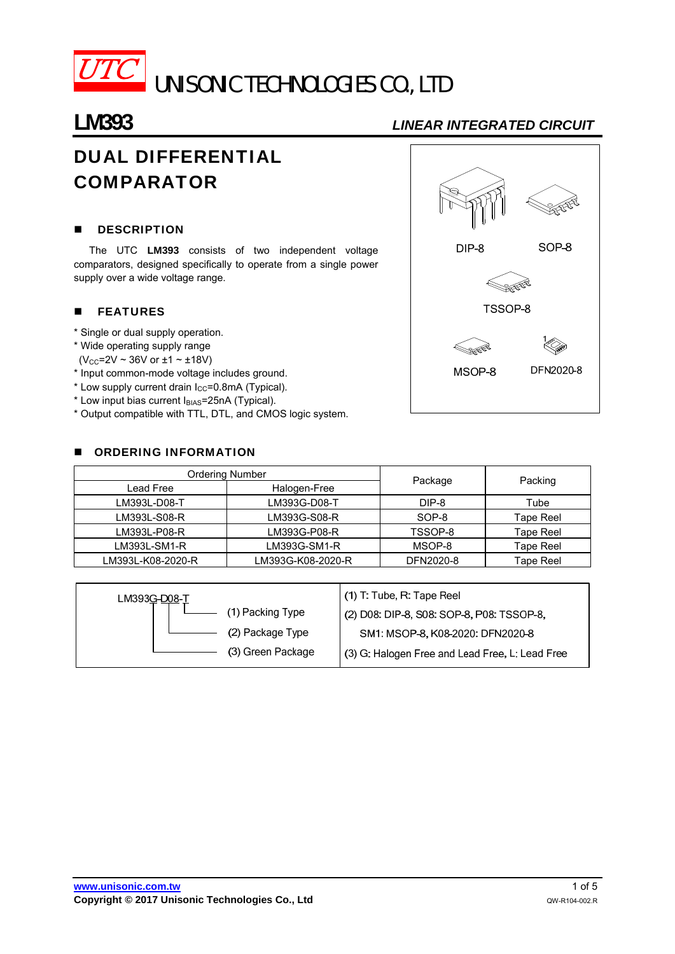

# UNISONIC TECHNOLOGIES CO., LTD

## **LM393** *LINEAR INTEGRATED CIRCUIT*

# DUAL DIFFERENTIAL COMPARATOR

#### **DESCRIPTION**

The UTC **LM393** consists of two independent voltage comparators, designed specifically to operate from a single power supply over a wide voltage range.

### **FEATURES**

- \* Single or dual supply operation.
- \* Wide operating supply range
- $(V_{CC} = 2V \sim 36V \text{ or } \pm 1 \sim \pm 18V)$
- \* Input common-mode voltage includes ground.
- $*$  Low supply current drain  $I_{CC}=0.8$ mA (Typical).
- $*$  Low input bias current  $I_{BIAS}=25nA$  (Typical).
- \* Output compatible with TTL, DTL, and CMOS logic system.

#### **DE ORDERING INFORMATION**



| <b>Ordering Number</b> |                   |           |                  |  |
|------------------------|-------------------|-----------|------------------|--|
| Lead Free              | Halogen-Free      | Package   | Packing          |  |
| LM393L-D08-T           | LM393G-D08-T      | DIP-8     | Tube             |  |
| LM393L-S08-R           | LM393G-S08-R      | SOP-8     | Tape Reel        |  |
| LM393L-P08-R           | LM393G-P08-R      | TSSOP-8   | Tape Reel        |  |
| $LM393L-SM1-R$         | LM393G-SM1-R      | MSOP-8    | <b>Tape Reel</b> |  |
| LM393L-K08-2020-R      | LM393G-K08-2020-R | DFN2020-8 | Tape Reel        |  |

| LM393G-D08-T |                   | (1) T: Tube, R: Tape Reel                       |
|--------------|-------------------|-------------------------------------------------|
|              | (1) Packing Type  | (2) D08: DIP-8, S08: SOP-8, P08: TSSOP-8,       |
|              | (2) Package Type  | SM1: MSOP-8, K08-2020: DFN2020-8                |
|              | (3) Green Package | (3) G: Halogen Free and Lead Free, L: Lead Free |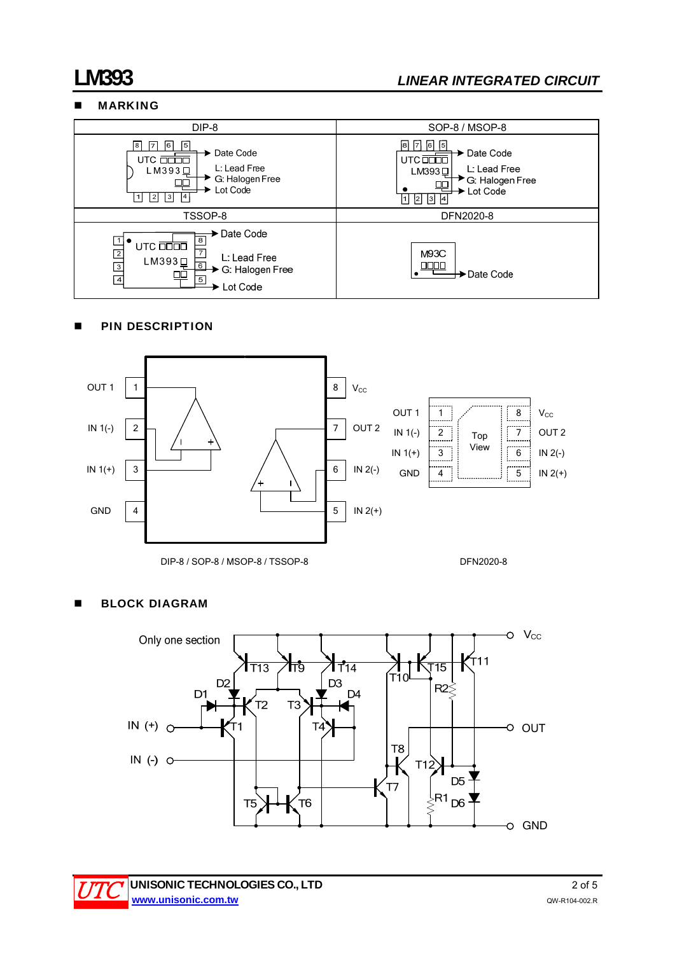### MARKING



### **PIN DESCRIPTION**



#### DIP-8 / SOP-8 / MSOP-8 / TSSOP-8 DFN2020-8

### **BLOCK DIAGRAM**



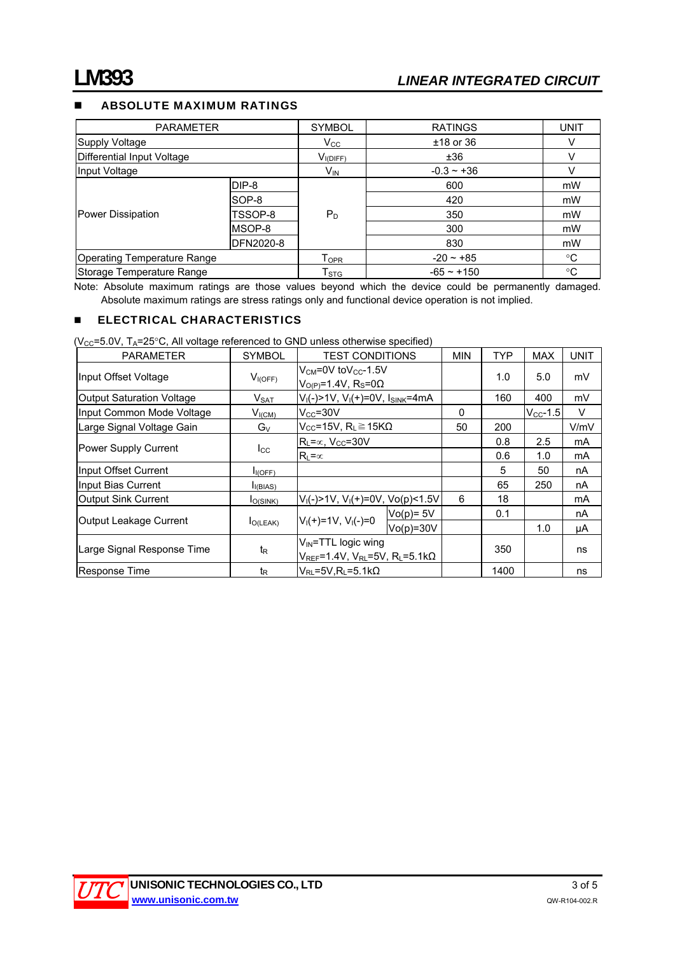#### ABSOLUTE MAXIMUM RATINGS

| <b>PARAMETER</b>                   |                  | <b>SYMBOL</b>             | <b>RATINGS</b>  | <b>UNIT</b> |
|------------------------------------|------------------|---------------------------|-----------------|-------------|
| Supply Voltage                     |                  | $V_{\rm CC}$              | $±18$ or 36     | V           |
| Differential Input Voltage         |                  | $V_{I(DIFF)}$             | ±36             |             |
| Input Voltage                      |                  | <b>V<sub>IN</sub></b>     | $-0.3 - +36$    |             |
| Power Dissipation                  | DIP-8            |                           | 600             | mW          |
|                                    | SOP-8            | $P_D$                     | 420             | mW          |
|                                    | TSSOP-8          |                           | 350             | mW          |
|                                    | MSOP-8           |                           | 300             | mW          |
|                                    | <b>DFN2020-8</b> |                           | 830             | mW          |
| <b>Operating Temperature Range</b> |                  | T <sub>OPR</sub>          | $-20 - 85$      | °C          |
| Storage Temperature Range          |                  | $\mathsf{T}_{\text{STG}}$ | $-65 \sim +150$ | °C          |

Note: Absolute maximum ratings are those values beyond which the device could be permanently damaged. Absolute maximum ratings are stress ratings only and functional device operation is not implied.

#### **ELECTRICAL CHARACTERISTICS**

( $V_{CC}$ =5.0V, T<sub>A</sub>=25°C, All voltage referenced to GND unless otherwise specified)

| <b>PARAMETER</b>                 | <b>SYMBOL</b>        | <b>TEST CONDITIONS</b>                                                                   | <b>MIN</b>   | TYP      | <b>MAX</b> | <b>UNIT</b>   |        |
|----------------------------------|----------------------|------------------------------------------------------------------------------------------|--------------|----------|------------|---------------|--------|
| Input Offset Voltage             | $V_{I(OFF)}$         | $V_{CM}$ =0V to $V_{CC}$ -1.5V<br>$VO(P)=1.4V, RS=0\Omega$                               |              |          | 1.0        | 5.0           | mV     |
| <b>Output Saturation Voltage</b> | $V_{\text{SAT}}$     | $V_I(-) > 1V$ , $V_I(+) = 0V$ , $I_{SINK} = 4mA$                                         |              |          | 160        | 400           | mV     |
| Input Common Mode Voltage        | $V_{I(CM)}$          | $V_{CC} = 30V$                                                                           |              | $\Omega$ |            | $V_{CC}$ -1.5 | $\vee$ |
| Large Signal Voltage Gain        | $G_V$                | $V_{CC}$ =15V, R <sub>L</sub> $\geq$ 15K $\Omega$                                        |              | 50       | 200        |               | V/mV   |
| Power Supply Current             | $I_{\rm CC}$         | $R_L = \infty$ , $V_{CC} = 30V$                                                          |              |          | 0.8        | 2.5           | mA     |
|                                  |                      | $R_1 = \infty$                                                                           |              |          | 0.6        | 1.0           | mA     |
| Input Offset Current             | I <sub>I(OFF)</sub>  |                                                                                          |              |          | 5          | 50            | nA     |
| Input Bias Current               | I <sub>I(BIAS)</sub> |                                                                                          |              |          | 65         | 250           | nA     |
| <b>Output Sink Current</b>       | $I_{O(SINK)}$        | $V_1(-) > 1V$ , $V_1(+)=0V$ , $V_0(p) < 1.5V$                                            |              | 6        | 18         |               | mA     |
| Output Leakage Current           | $I_{O(LEAK)}$        | $V_1(+)=1V$ , $V_1(-)=0$                                                                 | $Vo(p) = 5V$ |          | 0.1        |               | nA     |
|                                  |                      |                                                                                          | $Vo(p)=30V$  |          |            | 1.0           | μA     |
| Large Signal Response Time       | t <sub>R</sub>       | $V_{IN}$ =TTL logic wing<br>$V_{REF}$ =1.4V, $V_{RL}$ =5V, R <sub>L</sub> =5.1k $\Omega$ |              |          | 350        |               | ns     |
| Response Time                    | t <sub>R</sub>       | $V_{RL}$ =5V, R <sub>L</sub> =5.1k $\Omega$                                              |              |          | 1400       |               | ns     |

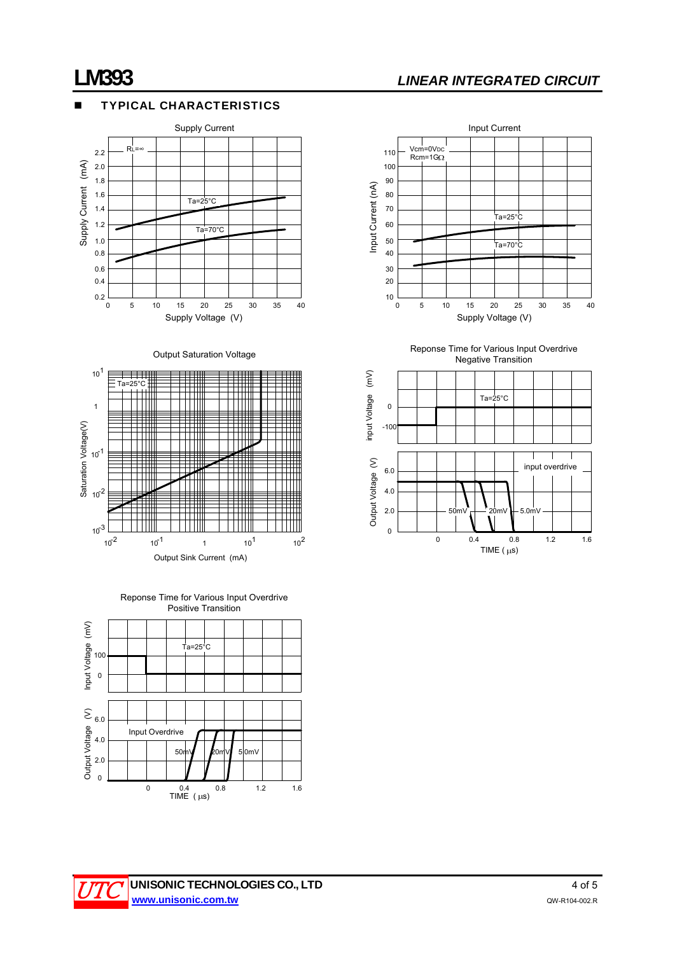### TYPICAL CHARACTERISTICS







Reponse Time for Various Input Overdrive Positive Transition





Reponse Time for Various Input Overdrive Negative Transition